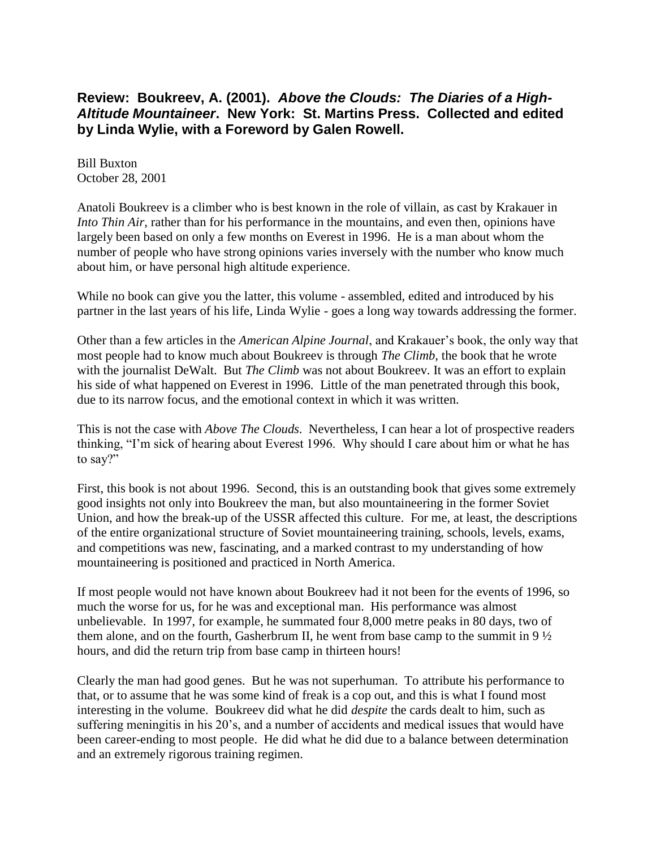## **Review: Boukreev, A. (2001).** *Above the Clouds: The Diaries of a High-Altitude Mountaineer***. New York: St. Martins Press. Collected and edited by Linda Wylie, with a Foreword by Galen Rowell.**

Bill Buxton October 28, 2001

Anatoli Boukreev is a climber who is best known in the role of villain, as cast by Krakauer in *Into Thin Air,* rather than for his performance in the mountains, and even then, opinions have largely been based on only a few months on Everest in 1996. He is a man about whom the number of people who have strong opinions varies inversely with the number who know much about him, or have personal high altitude experience.

While no book can give you the latter, this volume - assembled, edited and introduced by his partner in the last years of his life, Linda Wylie - goes a long way towards addressing the former.

Other than a few articles in the *American Alpine Journal*, and Krakauer's book, the only way that most people had to know much about Boukreev is through *The Climb,* the book that he wrote with the journalist DeWalt. But *The Climb* was not about Boukreev. It was an effort to explain his side of what happened on Everest in 1996. Little of the man penetrated through this book, due to its narrow focus, and the emotional context in which it was written.

This is not the case with *Above The Clouds*. Nevertheless, I can hear a lot of prospective readers thinking, "I'm sick of hearing about Everest 1996. Why should I care about him or what he has to say?"

First, this book is not about 1996. Second, this is an outstanding book that gives some extremely good insights not only into Boukreev the man, but also mountaineering in the former Soviet Union, and how the break-up of the USSR affected this culture. For me, at least, the descriptions of the entire organizational structure of Soviet mountaineering training, schools, levels, exams, and competitions was new, fascinating, and a marked contrast to my understanding of how mountaineering is positioned and practiced in North America.

If most people would not have known about Boukreev had it not been for the events of 1996, so much the worse for us, for he was and exceptional man. His performance was almost unbelievable. In 1997, for example, he summated four 8,000 metre peaks in 80 days, two of them alone, and on the fourth, Gasherbrum II, he went from base camp to the summit in  $9\frac{1}{2}$ hours, and did the return trip from base camp in thirteen hours!

Clearly the man had good genes. But he was not superhuman. To attribute his performance to that, or to assume that he was some kind of freak is a cop out, and this is what I found most interesting in the volume. Boukreev did what he did *despite* the cards dealt to him, such as suffering meningitis in his 20's, and a number of accidents and medical issues that would have been career-ending to most people. He did what he did due to a balance between determination and an extremely rigorous training regimen.